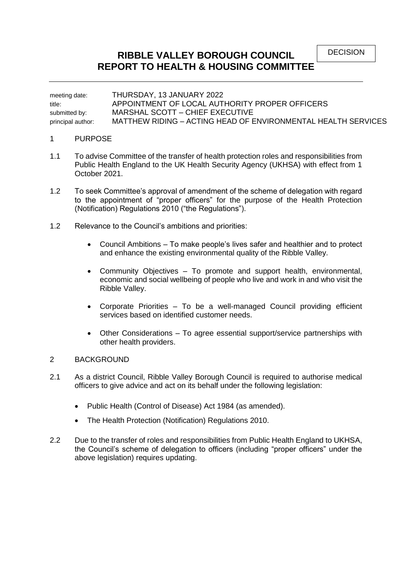DECISION

# **RIBBLE VALLEY BOROUGH COUNCIL REPORT TO HEALTH & HOUSING COMMITTEE**

meeting date: THURSDAY, 13 JANUARY 2022 title: APPOINTMENT OF LOCAL AUTHORITY PROPER OFFICERS submitted by: MARSHAL SCOTT – CHIEF EXECUTIVE principal author: MATTHEW RIDING – ACTING HEAD OF ENVIRONMENTAL HEALTH SERVICES

#### 1 PURPOSE

- 1.1 To advise Committee of the transfer of health protection roles and responsibilities from Public Health England to the UK Health Security Agency (UKHSA) with effect from 1 October 2021.
- 1.2 To seek Committee's approval of amendment of the scheme of delegation with regard to the appointment of "proper officers" for the purpose of the Health Protection (Notification) Regulations 2010 ("the Regulations").
- 1.2 Relevance to the Council's ambitions and priorities:
	- Council Ambitions To make people's lives safer and healthier and to protect and enhance the existing environmental quality of the Ribble Valley.
	- Community Objectives To promote and support health, environmental, economic and social wellbeing of people who live and work in and who visit the Ribble Valley.
	- Corporate Priorities To be a well-managed Council providing efficient services based on identified customer needs.
	- Other Considerations To agree essential support/service partnerships with other health providers.

## 2 BACKGROUND

- 2.1 As a district Council, Ribble Valley Borough Council is required to authorise medical officers to give advice and act on its behalf under the following legislation:
	- Public Health (Control of Disease) Act 1984 (as amended).
	- The Health Protection (Notification) Regulations 2010.
- 2.2 Due to the transfer of roles and responsibilities from Public Health England to UKHSA, the Council's scheme of delegation to officers (including "proper officers" under the above legislation) requires updating.